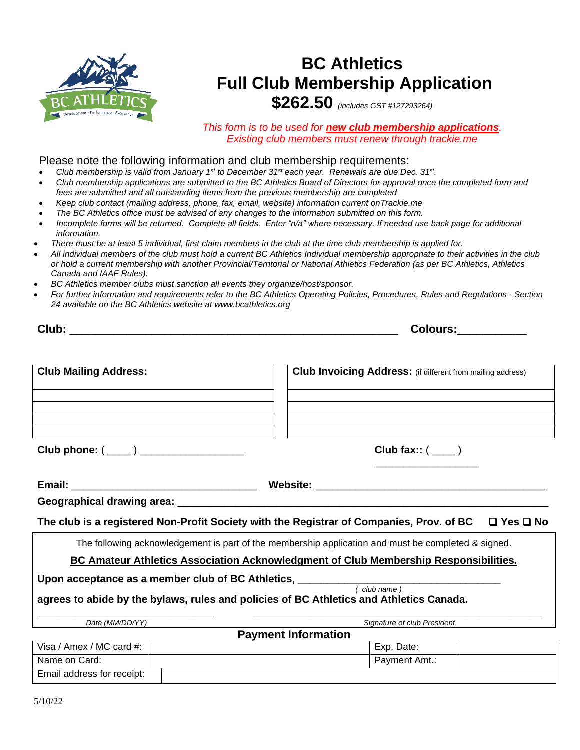

# **BC Athletics Full Club Membership Application**

**\$262.50** *(includes GST #127293264)*

*This form is to be used for new club membership applications. Existing club members must renew through trackie.me*

#### Please note the following information and club membership requirements:

- *Club membership is valid from January 1st to December 31st each year. Renewals are due Dec. 31st .*
- *Club membership applications are submitted to the BC Athletics Board of Directors for approval once the completed form and fees are submitted and all outstanding items from the previous membership are completed*
- *Keep club contact (mailing address, phone, fax, email, website) information current onTrackie.me*
- *The BC Athletics office must be advised of any changes to the information submitted on this form.*
- *Incomplete forms will be returned. Complete all fields. Enter "n/a" where necessary. If needed use back page for additional information.*
- *There must be at least 5 individual, first claim members in the club at the time club membership is applied for.*
- *All individual members of the club must hold a current BC Athletics Individual membership appropriate to their activities in the club or hold a current membership with another Provincial/Territorial or National Athletics Federation (as per BC Athletics, Athletics Canada and IAAF Rules).*
- *BC Athletics member clubs must sanction all events they organize/host/sponsor.*
- *For further information and requirements refer to the BC Athletics Operating Policies, Procedures, Rules and Regulations - Section 24 available on the BC Athletics website at www.bcathletics.org*

|                                                           | Colours:___________                                                                                              |
|-----------------------------------------------------------|------------------------------------------------------------------------------------------------------------------|
| <b>Club Mailing Address:</b>                              | Club Invoicing Address: (if different from mailing address)                                                      |
|                                                           |                                                                                                                  |
|                                                           |                                                                                                                  |
| Club phone: $(\_\_)$ __________________                   | Club fax:: $($                                                                                                   |
|                                                           |                                                                                                                  |
|                                                           |                                                                                                                  |
|                                                           | The club is a registered Non-Profit Society with the Registrar of Companies, Prov. of BC<br>$\Box$ Yes $\Box$ No |
|                                                           | The following acknowledgement is part of the membership application and must be completed & signed.              |
|                                                           | <b>BC Amateur Athletics Association Acknowledgment of Club Membership Responsibilities.</b>                      |
| Upon acceptance as a member club of BC Athletics, _______ |                                                                                                                  |
|                                                           | (club name)                                                                                                      |
|                                                           | agrees to abide by the bylaws, rules and policies of BC Athletics and Athletics Canada.                          |
| Date (MM/DD/YY)                                           | Signature of club President                                                                                      |
|                                                           | <b>Payment Information</b>                                                                                       |
| Visa / Amex / MC card #:                                  | Exp. Date:                                                                                                       |

Name on Card:  $\vert$  Payment Amt.:

Email address for receipt: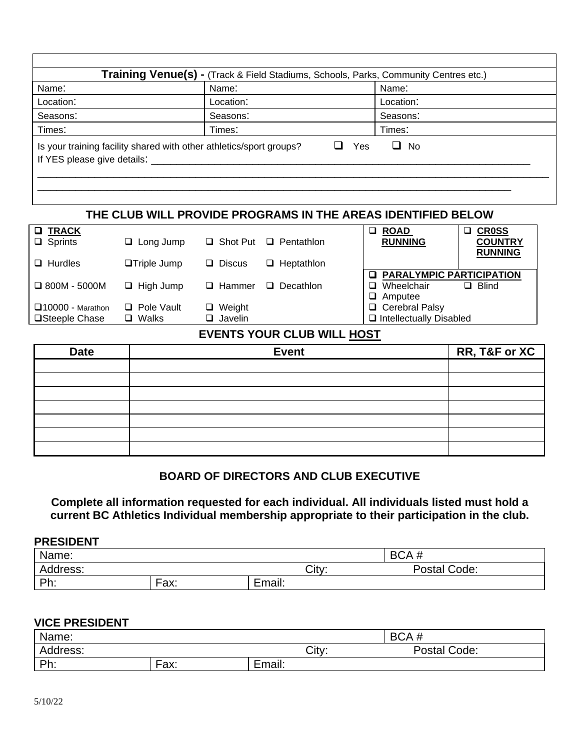| Name:                                  | Name:                                                               | Name:            |
|----------------------------------------|---------------------------------------------------------------------|------------------|
| Location:                              | Location:                                                           | Location:        |
| Seasons:                               | Seasons:                                                            | Seasons:         |
| Times:                                 | Times:                                                              | Times:           |
| If YES please give details: __________ | Is your training facility shared with other athletics/sport groups? | Yes<br>$\Box$ No |

## **THE CLUB WILL PROVIDE PROGRAMS IN THE AREAS IDENTIFIED BELOW**

| <b>Q TRACK</b>             |                    |                                    | <b>ROAD</b><br>$\Box$ | <b>CR0SS</b>                      |
|----------------------------|--------------------|------------------------------------|-----------------------|-----------------------------------|
| $\Box$ Sprints             | $\Box$ Long Jump   | $\Box$ Shot Put $\Box$ Pentathlon  | <b>RUNNING</b>        | <b>COUNTRY</b><br><b>RUNNING</b>  |
| $\Box$ Hurdles             | $\Box$ Triple Jump | $\Box$ Heptathlon<br>$\Box$ Discus |                       |                                   |
|                            |                    |                                    |                       | <b>Q PARALYMPIC PARTICIPATION</b> |
| $\Box$ 800M - 5000M        | $\Box$ High Jump   | $\Box$<br>$\Box$ Hammer            | Decathlon<br>□        | $\Box$ Blind<br>Wheelchair        |
|                            |                    |                                    | $\Box$ Amputee        |                                   |
| $\square$ 10000 - Marathon | $\Box$ Pole Vault  | $\Box$ Weight                      |                       | □ Cerebral Palsy                  |
| <b>□Steeple Chase</b>      | $\Box$ Walks       | $\Box$ Javelin                     |                       | $\Box$ Intellectually Disabled    |

## **EVENTS YOUR CLUB WILL HOST**

| <b>Date</b> | <b>Event</b> | RR, T&F or XC |
|-------------|--------------|---------------|
|             |              |               |
|             |              |               |
|             |              |               |
|             |              |               |
|             |              |               |
|             |              |               |
|             |              |               |

## **BOARD OF DIRECTORS AND CLUB EXECUTIVE**

**Complete all information requested for each individual. All individuals listed must hold a current BC Athletics Individual membership appropriate to their participation in the club.**

#### **PRESIDENT**

| Name:    |           |                    | BCA#         |
|----------|-----------|--------------------|--------------|
| Address: |           | City:              | Postal Code: |
| Dh<br>.  | -<br>Fax: | -<br>. .<br>Email: |              |

#### **VICE PRESIDENT**

| Name:    |           |               | BCA#         |
|----------|-----------|---------------|--------------|
| Address: |           | City:         | Postal Code: |
| Ph:      | -<br>Fax: | . .<br>Email: |              |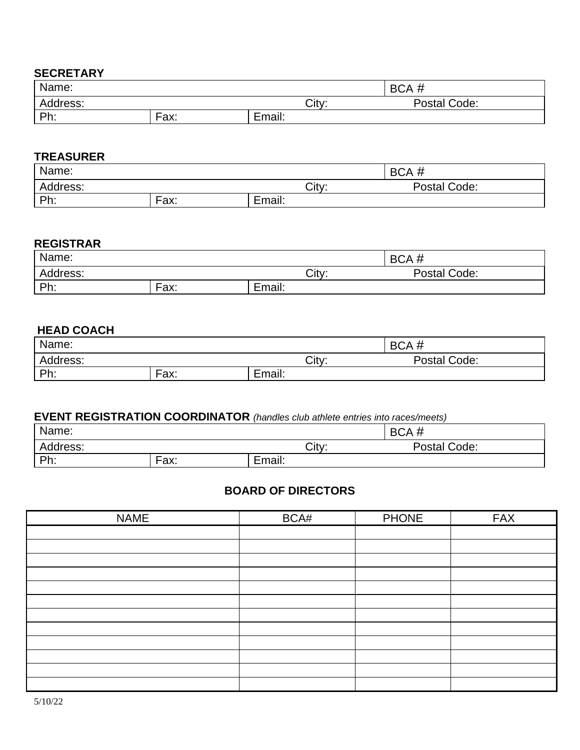#### **SECRETARY**

| Name:    |      |        | -44<br><b>BCA</b> |
|----------|------|--------|-------------------|
| Address: |      | City:  | Postal Code:      |
| Ph.      | Fax: | Email: |                   |

#### **TREASURER**

| Name:          |      |        | BCA#         |
|----------------|------|--------|--------------|
| Address:       |      | City:  | Postal Code: |
| <b>Dh</b><br>. | Fax: | Email: |              |

#### **REGISTRAR**

| Name:    |      |        | BCA#         |
|----------|------|--------|--------------|
| Address: |      | City:  | Postal Code: |
| Ph:      | Fax: | Email: |              |

# **HEAD COACH**

| Name:    |      |             | BCA#         |
|----------|------|-------------|--------------|
| Address: |      | City:       | Postal Code: |
| Ph.      | Fax: | -<br>Email: |              |

## **EVENT REGISTRATION COORDINATOR** *(handles club athlete entries into races/meets)*

| Name:          |      |        | -44<br>BCA#  |
|----------------|------|--------|--------------|
| Address:       |      | City:  | Postal Code: |
| <b>Dh</b><br>. | Fax: | Email: |              |

# **BOARD OF DIRECTORS**

| <b>NAME</b> | BCA# | <b>PHONE</b> | <b>FAX</b> |
|-------------|------|--------------|------------|
|             |      |              |            |
|             |      |              |            |
|             |      |              |            |
|             |      |              |            |
|             |      |              |            |
|             |      |              |            |
|             |      |              |            |
|             |      |              |            |
|             |      |              |            |
|             |      |              |            |
|             |      |              |            |
|             |      |              |            |